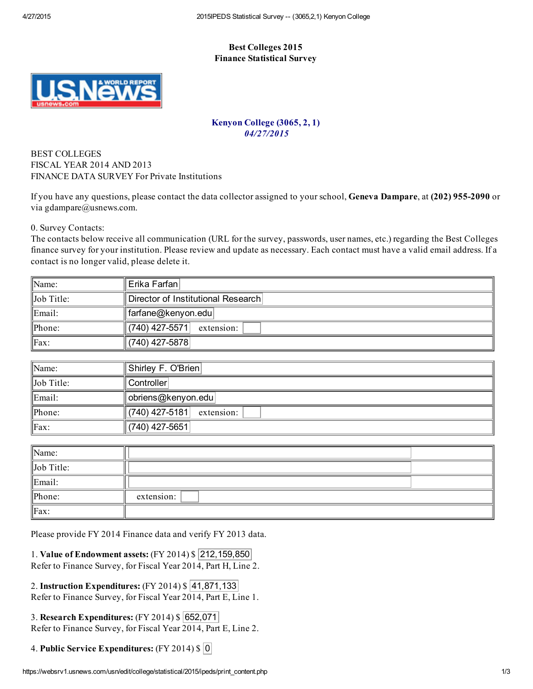## Best Colleges 2015 Finance Statistical Survey



## Kenyon College (3065, 2, 1) 04/27/2015

## BEST COLLEGES FISCAL YEAR 2014 AND 2013 FINANCE DATA SURVEY For Private Institutions

If you have any questions, please contact the data collector assigned to your school, Geneva Dampare, at (202) 955-2090 or via gdampare@usnews.com.

0. Survey Contacts:

The contacts below receive all communication (URL for the survey, passwords, user names, etc.) regarding the Best Colleges finance survey for your institution. Please review and update as necessary. Each contact must have a valid email address. If a contact is no longer valid, please delete it.

| $\parallel$ Name:  | Erika Farfanl                      |
|--------------------|------------------------------------|
| $\ $ Job Title:    | Director of Institutional Research |
| $\parallel$ Email: | ∥farfane@kenyon.edu                |
| $\mathbb{P}$ hone: | ∥(740) 427-5571∣<br>extension:     |
| $\parallel$ Fax:   | (740) 427-5878                     |

| $\mathbb{N}$ ame:  | Shirley F. O'Brien                                   |
|--------------------|------------------------------------------------------|
| $\ $ Job Title:    | Controller                                           |
| $\parallel$ Email: | obriens@kenyon.edu                                   |
| $\mathbb{P}$ hone: | $\parallel$ (740) 427-5181 $\parallel$<br>extension: |
| $\parallel$ Fax:   | (740) 427-5651                                       |

| $\parallel$ Name:  |            |  |
|--------------------|------------|--|
| $\ $ Job Title:    |            |  |
| $\parallel$ Email: |            |  |
| $\ $ Phone:        | extension: |  |
| $\parallel$ Fax:   |            |  |

Please provide FY 2014 Finance data and verify FY 2013 data.

1. Value of Endowment assets: (FY 2014) \$ 212,159,850 Refer to Finance Survey, for Fiscal Year 2014, Part H, Line 2.

| 2. Instruction Expenditures: (FY 2014) \$ 41,871,133           |  |
|----------------------------------------------------------------|--|
| Refer to Finance Survey, for Fiscal Year 2014, Part E, Line 1. |  |

3. Research Expenditures: (FY 2014) \$ 652,071 Refer to Finance Survey, for Fiscal Year 2014, Part E, Line 2.

4. Public Service Expenditures: (FY 2014) \$ 0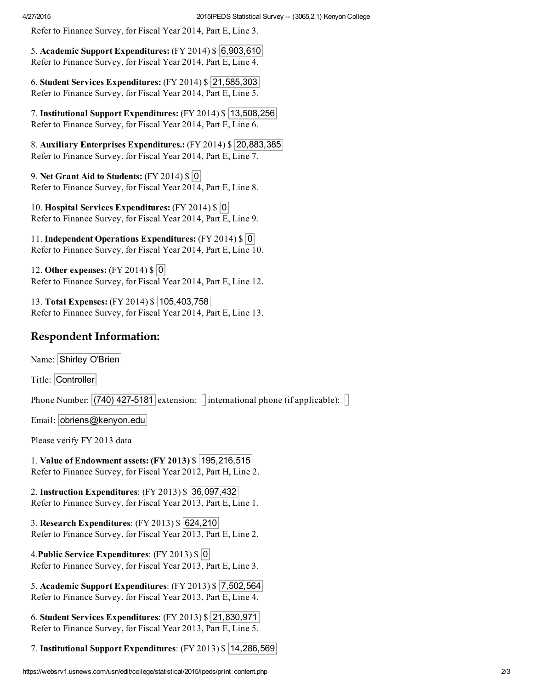Refer to Finance Survey, for Fiscal Year 2014, Part E, Line 3.

5. Academic Support Expenditures:  $(FY 2014)$  \$ 6,903,610 Refer to Finance Survey, for Fiscal Year 2014, Part E, Line 4.

6. Student Services Expenditures:  $(FY 2014)$  \$ 21,585,303 Refer to Finance Survey, for Fiscal Year 2014, Part E, Line 5.

7. Institutional Support Expenditures: (FY 2014) \$ 13,508,256 Refer to Finance Survey, for Fiscal Year 2014, Part E, Line 6.

8. Auxiliary Enterprises Expenditures.:  $(FY 2014)$  \$ 20,883,385 Refer to Finance Survey, for Fiscal Year 2014, Part E, Line 7.

9. Net Grant Aid to Students:  $(FY 2014)$  \$ 0 Refer to Finance Survey, for Fiscal Year 2014, Part E, Line 8.

10. Hospital Services Expenditures:  $(FY 2014)$  \$ 0 Refer to Finance Survey, for Fiscal Year 2014, Part E, Line 9.

11. Independent Operations Expenditures: (FY 2014) \$ 0 Refer to Finance Survey, for Fiscal Year 2014, Part E, Line 10.

12. Other expenses: (FY 2014) \$ 0 Refer to Finance Survey, for Fiscal Year 2014, Part E, Line 12.

13. Total Expenses: (FY 2014) \$ 105,403,758 Refer to Finance Survey, for Fiscal Year 2014, Part E, Line 13.

## Respondent Information:

Name: Shirley O'Brien

Title: Controller

Phone Number:  $(740)$  427-5181 extension: linternational phone (if applicable):  $\Box$ 

Email: obriens@kenyon.edu

Please verify FY 2013 data

1. Value of Endowment assets: (FY 2013) \$ 195,216,515 Refer to Finance Survey, for Fiscal Year 2012, Part H, Line 2.

2. Instruction Expenditures: (FY 2013) \$ 36,097,432 Refer to Finance Survey, for Fiscal Year 2013, Part E, Line 1.

3. Research Expenditures: (FY 2013) \$ 624,210 Refer to Finance Survey, for Fiscal Year 2013, Part E, Line 2.

4.Public Service Expenditures: (FY 2013) \$ 0 Refer to Finance Survey, for Fiscal Year 2013, Part E, Line 3.

5. Academic Support Expenditures: (FY 2013) \$ 7,502,564 Refer to Finance Survey, for Fiscal Year 2013, Part E, Line 4.

6. Student Services Expenditures: (FY 2013) \$ 21,830,971 Refer to Finance Survey, for Fiscal Year 2013, Part E, Line 5.

7. Institutional Support Expenditures: (FY 2013) \$ 14,286,569